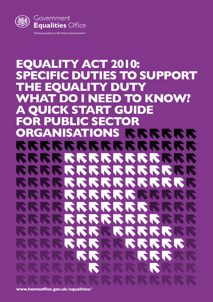

### **EQUALITY ACT 2010: SPECIFIC DUTIES TO SUPPORT THE EQUALITY DUTY AT DO I NEED TO KNOW? A QUICK START GUIDE FOR PUBLIC SECTOR ORGANISATIONS** SKRRR  $\mathbf{r}$  $\boldsymbol{\nabla}$  $\overline{\mathbf{v}}$  $\boldsymbol{\nabla}$  $\sum_{i=1}^n$ RRRRRR **Ist**  $\boldsymbol{\nabla}$ RRRRRR K. **IN** SSSSSS SSS  $\sqrt{2}$ **IN** SKRI SS X NNN  $\mathbf{z}$ I S **N N** KK **N**  $\sqrt{2}$ **KIN** N **AND** NR T

**<www.homeoffice.gov.uk/equalities/>**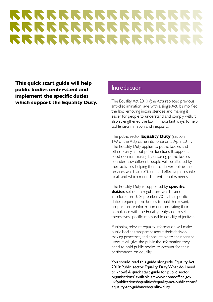# ISISISISISISIS RRRRRRRRRRR RRRRRRRRRRRR

**This quick start guide will help public bodies understand and implement the specific duties which support the Equality Duty.**

### Introduction

The Equality Act 2010 (the Act) replaced previous anti-discrimination laws with a single Act. It simplified the law, removing inconsistencies and making it easier for people to understand and comply with. It also strengthened the law in important ways, to help tackle discrimination and inequality.

The public sector **Equality Duty** (section 149 of the Act) came into force on 5 April 2011. The Equality Duty applies to public bodies and others carrying out public functions. It supports good decision-making by ensuring public bodies consider how different people will be affected by their activities, helping them to deliver policies and services which are efficient and effective; accessible to all; and which meet different people's needs.

The Equality Duty is supported by **specific duties**, set out in regulations which came into force on 10 September 2011. The specific duties require public bodies to publish relevant, proportionate information demonstrating their compliance with the Equality Duty; and to set themselves specific, measurable equality objectives.

Publishing relevant equality information will make public bodies transparent about their decisionmaking processes, and accountable to their service users. It will give the public the information they need to hold public bodies to account for their performance on equality.

You should read this guide alongside 'Equality Act 2010: Public sector Equality Duty. What do I need to know? A quick start guide for public sector organisations' available at: [www.homeoffice.gov.](www.homeoffice.gov.uk/publications/equalities/equality-act-publications/equality-act-guidance/equality-duty) [uk/publications/equalities/equality-act-publications/](www.homeoffice.gov.uk/publications/equalities/equality-act-publications/equality-act-guidance/equality-duty) [equality-act-guidance/equality-duty](www.homeoffice.gov.uk/publications/equalities/equality-act-publications/equality-act-guidance/equality-duty)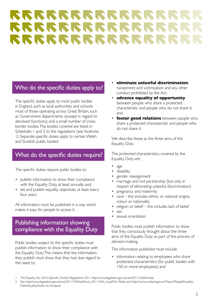# SKRKKKKKKKK RRRRRRRRRRR RRRRRRRRRRRRR

# Who do the specific duties apply to?

The specific duties apply to most public bodies in England, such as local authorities and schools; most of those operating across Great Britain, such as Government departments (except in regard to devolved functions); and a small number of crossborder bodies. The bodies covered are listed in Schedules 1 and 2 to the regulations (see footnote 1). Separate specific duties apply to certain Welsh and Scottish public bodies<sup>2</sup>. .

# What do the specific duties require?

The specific duties require public bodies to:

- publish information to show their compliance with the Equality Duty, at least annually; and
- set and publish equality objectives, at least every four years.

All information must be published in a way which makes it easy for people to access it.

# Publishing information showing compliance with the Equality Duty

Public bodies subject to the specific duties must publish information to show their compliance with the Equality Duty. This means that the information they publish must show that they had due regard to the need to:

- **eliminate unlawful discrimination**, harassment and victimisation and any other conduct prohibited by the Act;
- **advance equality of opportunity** between people who share a protected characteristic and people who do not share it; and
- **foster good relations** between people who share a protected characteristic and people who do not share it.

We describe these as the three aims of the Equality Duty.

The protected characteristics covered by the Equality Duty are:

- age
- disability
- gender reassignment
- marriage and civil partnership (but only in respect of eliminating unlawful discrimination)
- pregnancy and maternity
- race this includes ethnic or national origins, colour or nationality
- religion or belief this includes lack of belief
- sex
- sexual orientation

Public bodies must publish information to show that they consciously thought about the three aims of the Equality Duty as part of the process of decision-making.

The information published must include:

information relating to employees who share protected characteristics (for public bodies with 150 or more employees); and

<sup>1</sup> The Equality Act 2010 (Specific Duties) Regulations 2011<http://www.legislation.gov.uk/uksi/2011/2260/made>

<sup>2</sup> See [http://www.legislation.gov.uk/wsi/2011/1064/pdfs/wsi\\_20111064\\_mi.pdf](http://www.legislation.gov.uk/wsi/2011/1064/pdfs/wsi_20111064_mi.pdf) for Wales and [http://www.scotland.gov.uk/Topics/People/Equality/](http://www.scotland.gov.uk/Topics/People/Equality/PublicEqualityDuties) [PublicEqualityDuties](http://www.scotland.gov.uk/Topics/People/Equality/PublicEqualityDuties) for Scotland.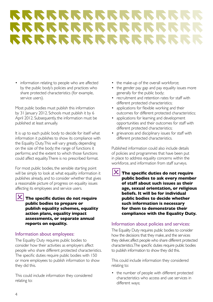# RRRRRRRRRRRR RRRRRRRRRRRRR RRRRRRRRRRRRRRR

• information relating to people who are affected by the public body's policies and practices who share protected characteristics (for example, service users).

Most public bodies must publish this information by 31 January 2012. Schools must publish it by 6 April 2012. Subsequently, the information must be published at least annually.

It is up to each public body to decide for itself what information it publishes to show its compliance with the Equality Duty. This will vary greatly, depending on the size of the body; the range of functions it performs; and the extent to which those functions could affect equality. There is no prescribed format.

For most public bodies, the sensible starting point will be simply to look at what equality information it publishes already, and to consider whether that gives a reasonable picture of progress on equality issues affecting its employees and service users.

4**The specific duties do not require public bodies to prepare or publish equality schemes, equality action plans, equality impact assessments, or separate annual reports on equality.**

#### Information about employees:

The Equality Duty requires public bodies to consider how their activities as employers affect people who share different protected characteristics. The specific duties require public bodies with 150 or more employees to publish information to show they did this.

This could include information they considered relating to:

- the make-up of the overall workforce;
- the gender pay gap and pay equality issues more generally for the public body;
- recruitment and retention rates for staff with different protected characteristics;
- applications for flexible working and their outcomes for different protected characteristics;
- applications for learning and development opportunities and their outcomes for staff with different protected characteristics;
- grievances and disciplinary issues for staff with different protected characteristics.

Published information could also include details of policies and programmes that have been put in place to address equality concerns within the workforce, and information from staff surveys.

4**The specific duties do not require public bodies to ask every member of staff about such issues as their age, sexual orientation, or religious beliefs. It will be for individual public bodies to decide whether such information is necessary for them to demonstrate their compliance with the Equality Duty.** 

### Information about policies and services:

The Equality Duty requires public bodies to consider how the decisions that they make, and the services they deliver, affect people who share different protected characteristics. The specific duties require public bodies to publish information to show they did this.

This could include information they considered relating to:

• the number of people with different protected characteristics who access and use services in different ways;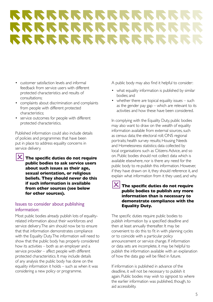# **SISISISISISISISISISIS** RRRRRRRRRRRRR RRRRRRRRRRRRRR

- customer satisfaction levels and informal feedback from service users with different protected characteristics and results of consultations;
- complaints about discrimination and complaints from people with different protected characteristics;
- service outcomes for people with different protected characteristics.

Published information could also include details of policies and programmes that have been put in place to address equality concerns in service delivery.



4**The specific duties do not require public bodies to ask service users about such issues as their age, sexual orientation, or religious beliefs. They should never do this if such information is available from other sources (see below for other sources).** 

#### Issues to consider about publishing information:

Most public bodies already publish lots of equalityrelated information about their workforces and service delivery. The aim should now be to ensure that that information demonstrates compliance with the Equality Duty. The information will need to show that the public body has properly considered how its activities – both as an employer and a service provider – affect people with different protected characteristics. It may include details of any analysis the public body has done on the equality information it holds – such as when it was considering a new policy or programme.

A public body may also find it helpful to consider:

- what equality information is published by similar bodies; and
- whether there are topical equality issues such as the gender pay gap – which are relevant to its activities and how these have been considered.

In complying with the Equality Duty, public bodies may also want to draw on the wealth of equality information available from external sources, such as census data; the electoral roll; ONS regional portraits; health survey results; Housing Needs and Homelessness statistics; data collected by local organisations such as Citizens Advice, and so on. Public bodies should not collect data which is available elsewhere, nor is there any need for the public body to re-publish this information. However, if they have drawn on it, they should reference it, and explain what information from it they used, and why.

#### 4**The specific duties do not require public bodies to publish any more information than is necessary to demonstrate compliance with the Equality Duty.**

The specific duties require public bodies to publish information by a specified deadline and then at least annually thereafter. It may be convenient to do this to fit in with planning cycles or to coincide with a particular policy announcement or service change. If information or data sets are incomplete, it may be helpful to publish the information available with an explanation of how the data gap will be filled in future.

If information is published in advance of the deadline, it will not be necessary to publish it again. Public bodies may wish to signpost to where the earlier information was published, though, to aid accessibility.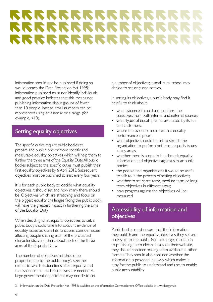# **RRRRRRRRRRRR** RRRRRRRRRRRRR RRRRRRRRRRRRRRR

Information should not be published if doing so would breach the Data Protection Act 1998<sup>3</sup>. Information published must not identify individuals and good practice indicates that this means not publishing information about groups of fewer than 10 people. Instead, small numbers can be represented using an asterisk or a range (for example,  $<10$ ).

# Setting equality objectives

The specific duties require public bodies to prepare and publish one or more specific and measurable equality objectives which will help them to further the three aims of the Equality Duty. All public bodies subject to the specific duties must publish their first equality objectives by 6 April 2012. Subsequent objectives must be published at least every four years.

It is for each public body to decide what equality objectives it should set and how many there should be. Objectives which are stretching, and focus on the biggest equality challenges facing the public body, will have the greatest impact in furthering the aims of the Equality Duty.

When deciding what equality objectives to set, a public body should take into account evidence of equality issues across all its functions; consider issues affecting people sharing each of the protected characteristics; and think about each of the three aims of the Equality Duty.

The number of objectives set should be proportionate to the public body's size; the extent to which its functions affect equality; and the evidence that such objectives are needed. A large government department may decide to set a number of objectives; a small rural school may decide to set only one or two.

In setting its objectives, a public body may find it helpful to think about:

- what evidence it could use to inform the objectives, from both internal and external sources;
- what types of equality issues are raised by its staff and customers;
- where the evidence indicates that equality performance is poor;
- what objectives could be set to stretch the organisation to perform better on equality issues in key areas;
- whether there is scope to benchmark equality information and objectives against similar public bodies;
- the people and organisations it would be useful to talk to in the process of setting objectives;
- whether to set short term, medium term or long term objectives in different areas;
- how progress against the objectives will be measured.

# Accessibility of information and objectives

Public bodies must ensure that the information they publish and the equality objectives they set are accessible to the public, free of charge. In addition to publishing them electronically on their website, they should consider making them available in other formats. They should also consider whether the information is provided in a way which makes it easy for the public to understand and use, to enable public accountability.

<sup>3</sup> Information on the Data Protection Act 1998 is available on the Information Commissioner's Office website at<www.ico.gov.uk>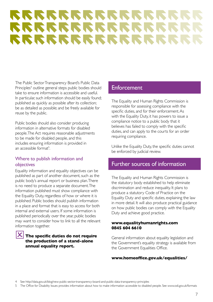# **RRRRRRRRRRR** RRRRRRRRRRR RRRRRRRRRRRRR

The Public Sector Transparency Board's Public Data Principles<sup>4</sup> outline general steps public bodies should take to ensure information is accessible and useful. In particular, such information should be easily found; published as quickly as possible after its collection; be as detailed as possible; and be freely available for reuse by the public.

Public bodies should also consider producing information in alternative formats for disabled people. The Act requires reasonable adjustments to be made for disabled people, and this includes ensuring information is provided in an accessible format<sup>5</sup>.

#### Where to publish information and objectives

Equality information and equality objectives can be published as part of another document, such as the public body's annual report or business plan. There is no need to produce a separate document. The information published must show compliance with the Equality Duty, regardless of how or where it is published. Public bodies should publish information in a place and format that is easy to access for both internal and external users. If some information is published periodically over the year, public bodies may want to consider how to link to all the relevant information together.

#### 4**The specific duties do not require the production of a stand-alone annual equality report.**

### **Enforcement**

The Equality and Human Rights Commission is responsible for assessing compliance with the specific duties, and for their enforcement. As with the Equality Duty, it has powers to issue a compliance notice to a public body that it believes has failed to comply with the specific duties, and can apply to the courts for an order requiring compliance.

Unlike the Equality Duty, the specific duties cannot be enforced by judicial review.

### Further sources of information

The Equality and Human Rights Commission is the statutory body established to help eliminate discrimination and reduce inequality. It plans to produce a statutory Code of Practice on the Equality Duty and specific duties, explaining the law in more detail. It will also produce practical guidance on how public bodies can comply with the Equality Duty and achieve good practice.

#### **<www.equalityhumanrights.com> 0845 604 6610**

General information about equality legislation and the Government's equality strategy is available from the Government Equalities Office.

#### **<www.homeoffice.gov.uk/equalities/>**

See http://data.gov.uk/blog/new-public-sector-transparency-board-and-public-data-transparency-principles

5 The Office for Disability Issues provides information about how to make information accessible to disabled people. See<www.odi.gov.uk/formats>